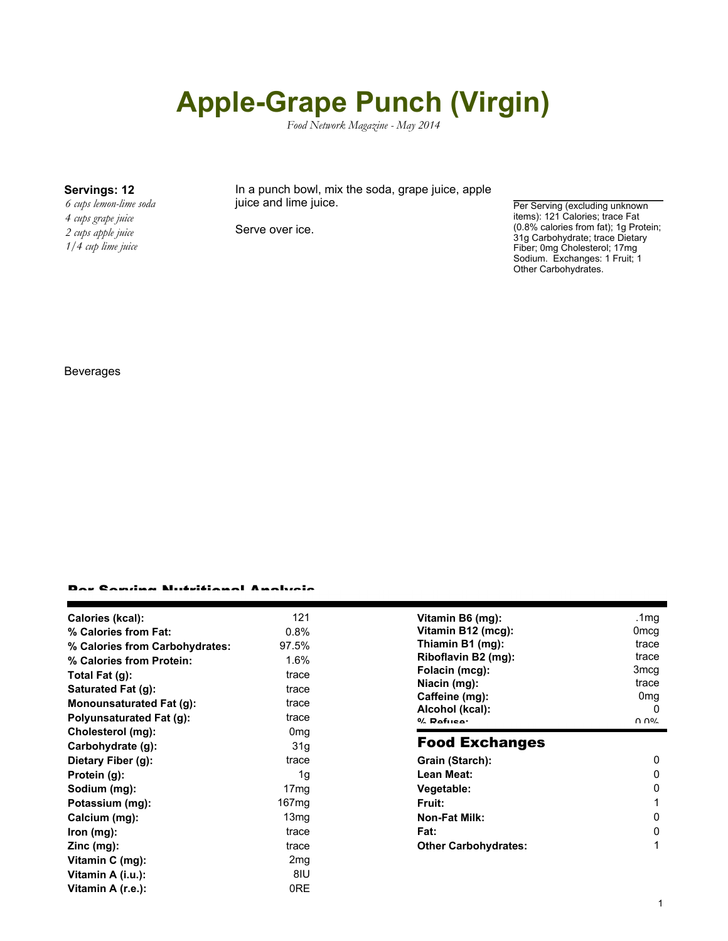# **Apple-Grape Punch (Virgin)**

*Food Network Magazine - May 2014*

*6 cups lemon-lime soda 4 cups grape juice 2 cups apple juice 1/4 cup lime juice*

**Servings: 12** In a punch bowl, mix the soda, grape juice, apple juice and lime juice.

Serve over ice.

Per Serving (excluding unknown items): 121 Calories; trace Fat (0.8% calories from fat); 1g Protein; 31g Carbohydrate; trace Dietary Fiber; 0mg Cholesterol; 17mg Sodium. Exchanges: 1 Fruit; 1 Other Carbohydrates.

#### Beverages

### Per Serving Nutritional Analysis

| Calories (kcal):<br>% Calories from Fat:<br>% Calories from Carbohydrates:<br>% Calories from Protein:<br>Total Fat (g):<br>Saturated Fat (g):<br><b>Monounsaturated Fat (g):</b><br><b>Polyunsaturated Fat (g):</b> | 121<br>0.8%<br>97.5%<br>1.6%<br>trace<br>trace<br>trace<br>trace | Vitamin B6 (mg):<br>Vitamin B12 (mcg):<br>Thiamin B1 (mg):<br>Riboflavin B2 (mg):<br>Folacin (mcg):<br>Niacin (mg):<br>Caffeine (mg):<br>Alcohol (kcal):<br>$0/2$ Dafuen: | .1 $mg$<br>0 <sub>mcg</sub><br>trace<br>trace<br>3mcg<br>trace<br>0 <sub>mg</sub><br>0<br>ህ ሀለ |
|----------------------------------------------------------------------------------------------------------------------------------------------------------------------------------------------------------------------|------------------------------------------------------------------|---------------------------------------------------------------------------------------------------------------------------------------------------------------------------|------------------------------------------------------------------------------------------------|
| Cholesterol (mg):<br>Carbohydrate (g):                                                                                                                                                                               | 0 <sub>mg</sub><br>31 <sub>g</sub>                               | <b>Food Exchanges</b>                                                                                                                                                     |                                                                                                |
| Dietary Fiber (g):                                                                                                                                                                                                   | trace                                                            | Grain (Starch):                                                                                                                                                           | $\Omega$                                                                                       |
| Protein (g):                                                                                                                                                                                                         | 1g                                                               | Lean Meat:                                                                                                                                                                | 0                                                                                              |
| Sodium (mg):                                                                                                                                                                                                         | 17 <sub>mg</sub>                                                 | Vegetable:                                                                                                                                                                | 0                                                                                              |
| Potassium (mg):                                                                                                                                                                                                      | 167 <sub>mq</sub>                                                | <b>Fruit:</b>                                                                                                                                                             |                                                                                                |
| Calcium (mg):                                                                                                                                                                                                        | 13 <sub>mg</sub>                                                 | <b>Non-Fat Milk:</b>                                                                                                                                                      | 0                                                                                              |
| lron (mg):                                                                                                                                                                                                           | trace                                                            | Fat:                                                                                                                                                                      | $\Omega$                                                                                       |
| Zinc (mg):                                                                                                                                                                                                           | trace                                                            | <b>Other Carbohydrates:</b>                                                                                                                                               |                                                                                                |
| Vitamin C (mg):                                                                                                                                                                                                      | 2 <sub>mg</sub>                                                  |                                                                                                                                                                           |                                                                                                |
| Vitamin A (i.u.):                                                                                                                                                                                                    | 8IU                                                              |                                                                                                                                                                           |                                                                                                |
| Vitamin A (r.e.):                                                                                                                                                                                                    | 0RE                                                              |                                                                                                                                                                           |                                                                                                |